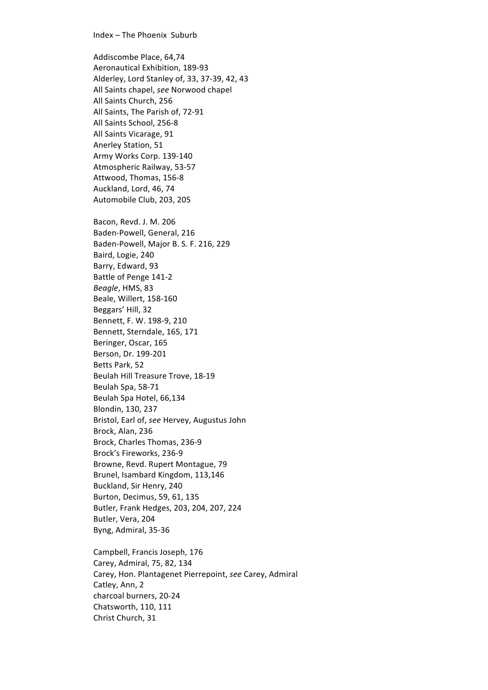## Index – The Phoenix Suburb

Addiscombe Place, 64,74 Aeronautical Exhibition, 189-93 Alderley, Lord Stanley of, 33, 37-39, 42, 43 All Saints chapel, see Norwood chapel All Saints Church, 256 All Saints, The Parish of, 72-91 All Saints School, 256-8 All Saints Vicarage, 91 Anerley Station, 51 Army Works Corp. 139-140 Atmospheric Railway, 53-57 Attwood, Thomas, 156-8 Auckland, Lord, 46, 74 Automobile Club, 203, 205 Bacon, Revd. J. M. 206 Baden-Powell, General, 216 Baden-Powell, Major B. S. F. 216, 229 Baird, Logie, 240 Barry, Edward, 93 Battle of Penge 141-2 Beagle, HMS, 83 Beale, Willert, 158-160 Beggars' Hill, 32 Bennett, F. W. 198-9, 210 Bennett, Sterndale, 165, 171 Beringer, Oscar, 165 Berson, Dr. 199-201 Betts Park, 52 Beulah Hill Treasure Trove, 18-19 Beulah Spa, 58-71 Beulah Spa Hotel, 66,134 Blondin, 130, 237 Bristol, Earl of, see Hervey, Augustus John Brock, Alan, 236 Brock, Charles Thomas, 236-9 Brock's Fireworks, 236-9 Browne, Revd. Rupert Montague, 79 Brunel, Isambard Kingdom, 113,146 Buckland, Sir Henry, 240 Burton, Decimus, 59, 61, 135 Butler, Frank Hedges, 203, 204, 207, 224 Butler, Vera, 204 Byng, Admiral, 35-36

Campbell, Francis Joseph, 176 Carey, Admiral, 75, 82, 134 Carey, Hon. Plantagenet Pierrepoint, see Carey, Admiral Catley, Ann, 2 charcoal burners, 20-24 Chatsworth, 110, 111 Christ Church, 31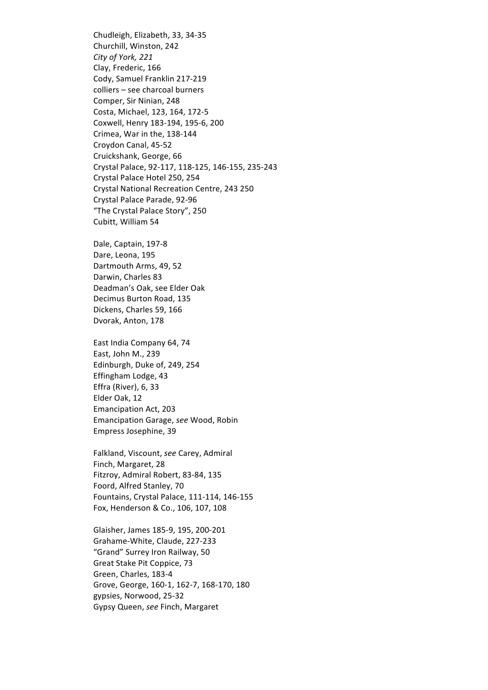Chudleigh, Elizabeth, 33, 34-35 Churchill, Winston, 242 *City of York, 221* Clay, Frederic, 166 Cody, Samuel Franklin 217-219 colliers - see charcoal burners Comper, Sir Ninian, 248 Costa, Michael, 123, 164, 172-5 Coxwell, Henry 183-194, 195-6, 200 Crimea, War in the, 138-144 Croydon Canal, 45-52 Cruickshank, George, 66 Crystal Palace, 92-117, 118-125, 146-155, 235-243 Crystal Palace Hotel 250, 254 Crystal National Recreation Centre, 243 250 Crystal Palace Parade, 92-96 "The Crystal Palace Story", 250 Cubitt, William 54

Dale, Captain, 197-8 Dare, Leona, 195 Dartmouth Arms, 49, 52 Darwin, Charles 83 Deadman's Oak, see Elder Oak Decimus Burton Road, 135 Dickens, Charles 59, 166 Dvorak, Anton, 178

East India Company 64, 74 East, John M., 239 Edinburgh, Duke of, 249, 254 Effingham Lodge, 43 Effra (River), 6, 33 Elder Oak, 12 Emancipation Act, 203 Emancipation Garage, *see* Wood, Robin Empress Josephine, 39

Falkland, Viscount, see Carey, Admiral Finch, Margaret, 28 Fitzroy, Admiral Robert, 83-84, 135 Foord, Alfred Stanley, 70 Fountains, Crystal Palace, 111-114, 146-155 Fox, Henderson & Co., 106, 107, 108

Glaisher, James 185-9, 195, 200-201 Grahame-White, Claude, 227-233 "Grand" Surrey Iron Railway, 50 Great Stake Pit Coppice, 73 Green, Charles, 183-4 Grove, George, 160-1, 162-7, 168-170, 180 gypsies, Norwood, 25-32 Gypsy Queen, *see* Finch, Margaret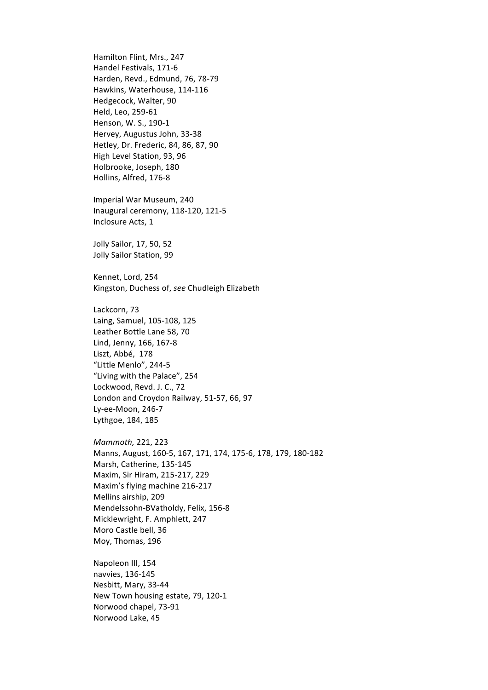Hamilton Flint, Mrs., 247 Handel Festivals, 171-6 Harden, Revd., Edmund, 76, 78-79 Hawkins, Waterhouse, 114-116 Hedgecock, Walter, 90 Held, Leo, 259-61 Henson, W. S., 190-1 Hervey, Augustus John, 33-38 Hetley, Dr. Frederic, 84, 86, 87, 90 High Level Station, 93, 96 Holbrooke, Joseph, 180 Hollins, Alfred, 176-8 Imperial War Museum, 240 Inaugural ceremony, 118-120, 121-5 Inclosure Acts, 1 Jolly Sailor, 17, 50, 52 Jolly Sailor Station, 99 Kennet, Lord, 254 Kingston, Duchess of, *see* Chudleigh Elizabeth Lackcorn, 73 Laing, Samuel, 105-108, 125 Leather Bottle Lane 58, 70 Lind, Jenny, 166, 167-8 Liszt, Abbé, 178 "Little Menlo", 244-5 "Living with the Palace", 254 Lockwood, Revd. J. C., 72 London and Croydon Railway, 51-57, 66, 97 Lv-ee-Moon, 246-7 Lythgoe, 184, 185 *Mammoth,* 221, 223 Manns, August, 160-5, 167, 171, 174, 175-6, 178, 179, 180-182 Marsh, Catherine, 135-145 Maxim, Sir Hiram, 215-217, 229 Maxim's flying machine 216-217 Mellins airship, 209 Mendelssohn-BVatholdy, Felix, 156-8 Micklewright, F. Amphlett, 247 Moro Castle bell, 36 Moy, Thomas, 196 Napoleon III, 154 navvies, 136-145 Nesbitt, Mary, 33-44 New Town housing estate, 79, 120-1 Norwood chapel, 73-91

Norwood Lake, 45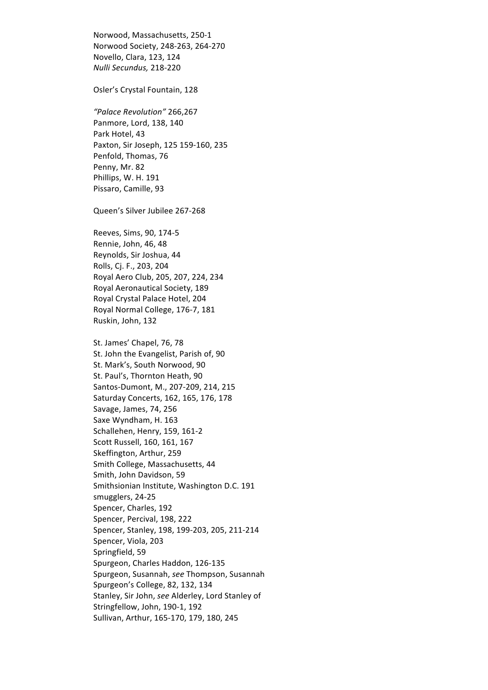Norwood, Massachusetts, 250-1 Norwood Society, 248-263, 264-270 Novello, Clara, 123, 124 *Nulli Secundus,* 218-220

Osler's Crystal Fountain, 128

*"Palace Revolution"* 266,267 Panmore, Lord, 138, 140 Park Hotel, 43 Paxton, Sir Joseph, 125 159-160, 235 Penfold, Thomas, 76 Penny, Mr. 82 Phillips, W. H. 191 Pissaro, Camille, 93

Queen's Silver Jubilee 267-268

Reeves, Sims, 90, 174-5 Rennie, John, 46, 48 Reynolds, Sir Joshua, 44 Rolls, Cj. F., 203, 204 Royal Aero Club, 205, 207, 224, 234 Royal Aeronautical Society, 189 Royal Crystal Palace Hotel, 204 Royal Normal College, 176-7, 181 Ruskin, John, 132

St. James' Chapel, 76, 78 St. John the Evangelist, Parish of, 90 St. Mark's, South Norwood, 90 St. Paul's, Thornton Heath, 90 Santos-Dumont, M., 207-209, 214, 215 Saturday Concerts, 162, 165, 176, 178 Savage, James, 74, 256 Saxe Wyndham, H. 163 Schallehen, Henry, 159, 161-2 Scott Russell, 160, 161, 167 Skeffington, Arthur, 259 Smith College, Massachusetts, 44 Smith, John Davidson, 59 Smithsionian Institute, Washington D.C. 191 smugglers, 24-25 Spencer, Charles, 192 Spencer, Percival, 198, 222 Spencer, Stanley, 198, 199-203, 205, 211-214 Spencer, Viola, 203 Springfield, 59 Spurgeon, Charles Haddon, 126-135 Spurgeon, Susannah, see Thompson, Susannah Spurgeon's College, 82, 132, 134 Stanley, Sir John, see Alderley, Lord Stanley of Stringfellow, John, 190-1, 192 Sullivan, Arthur, 165-170, 179, 180, 245